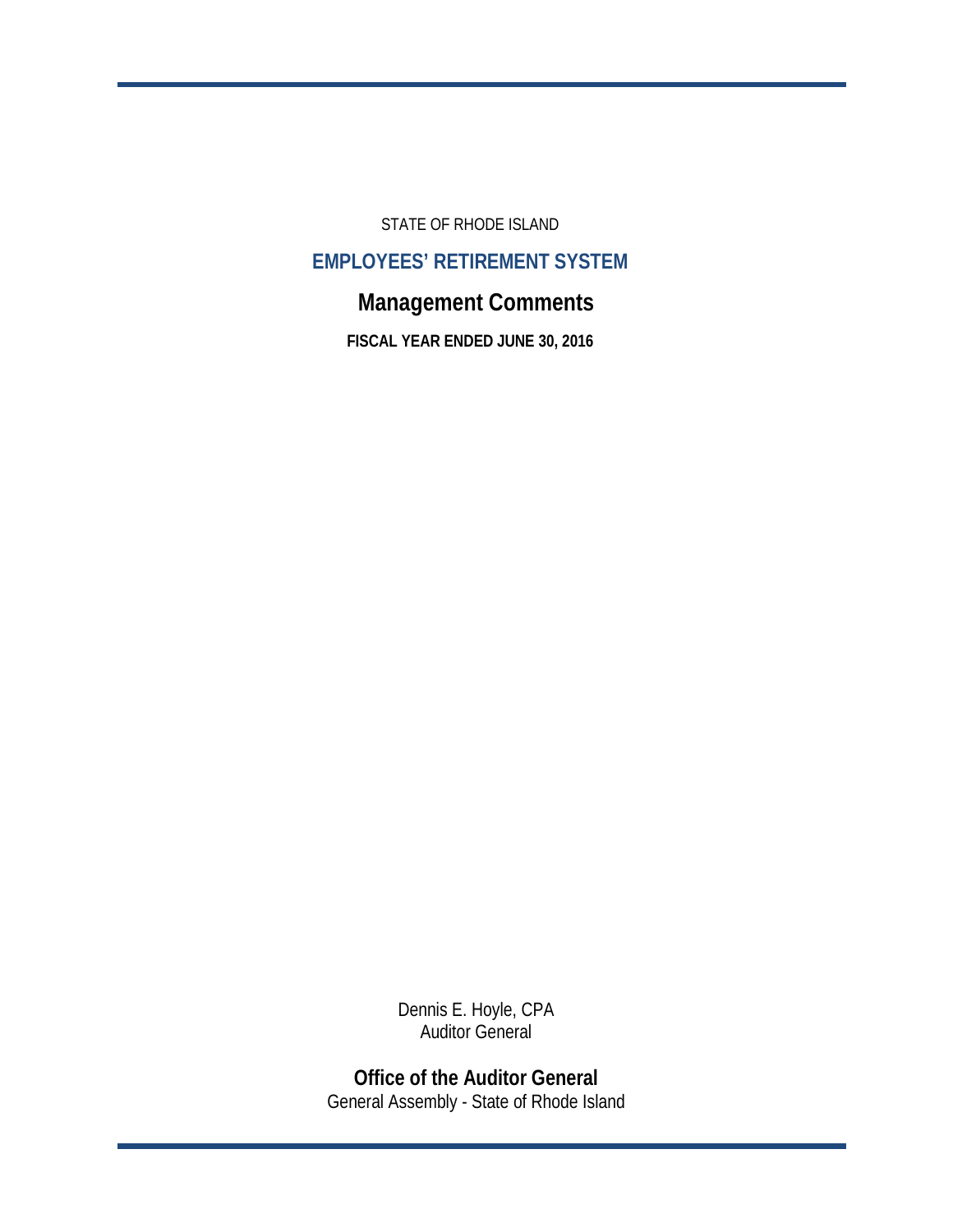STATE OF RHODE ISLAND

# **EMPLOYEES' RETIREMENT SYSTEM**

# **Management Comments**

**FISCAL YEAR ENDED JUNE 30, 2016**

Dennis E. Hoyle, CPA Auditor General

**Office of the Auditor General** General Assembly - State of Rhode Island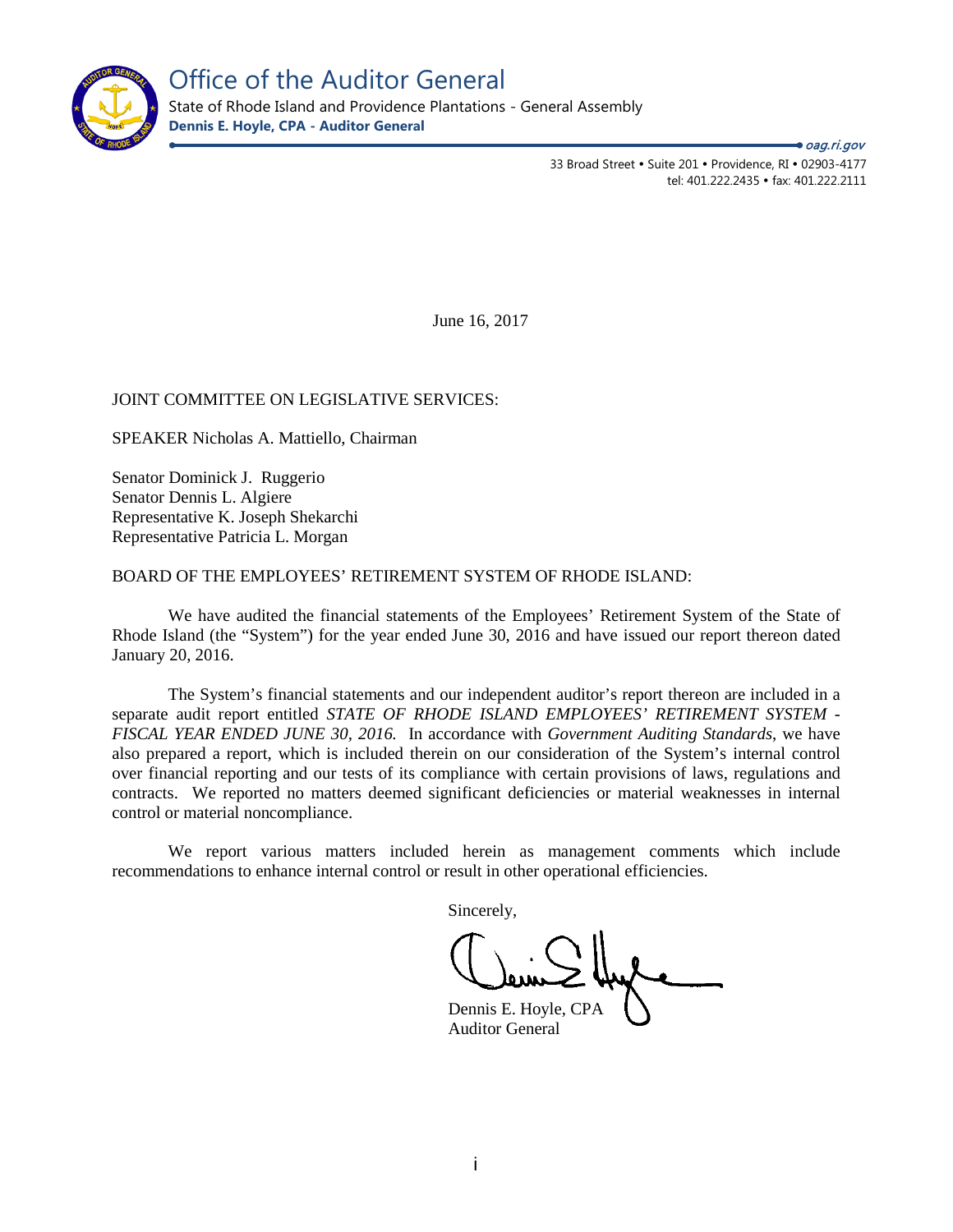

Office of the Auditor General

State of Rhode Island and Providence Plantations - General Assembly **Dennis E. Hoyle, CPA - Auditor General**

> 33 Broad Street • Suite 201 • Providence, RI • 02903-4177 tel: 401.222.2435 · fax: 401.222.2111

oag.ri.gov

June 16, 2017

### JOINT COMMITTEE ON LEGISLATIVE SERVICES:

SPEAKER Nicholas A. Mattiello, Chairman

Senator Dominick J. Ruggerio Senator Dennis L. Algiere Representative K. Joseph Shekarchi Representative Patricia L. Morgan

#### BOARD OF THE EMPLOYEES' RETIREMENT SYSTEM OF RHODE ISLAND:

We have audited the financial statements of the Employees' Retirement System of the State of Rhode Island (the "System") for the year ended June 30, 2016 and have issued our report thereon dated January 20, 2016.

The System's financial statements and our independent auditor's report thereon are included in a separate audit report entitled *STATE OF RHODE ISLAND EMPLOYEES' RETIREMENT SYSTEM - FISCAL YEAR ENDED JUNE 30, 2016.* In accordance with *Government Auditing Standards*, we have also prepared a report, which is included therein on our consideration of the System's internal control over financial reporting and our tests of its compliance with certain provisions of laws, regulations and contracts. We reported no matters deemed significant deficiencies or material weaknesses in internal control or material noncompliance.

We report various matters included herein as management comments which include recommendations to enhance internal control or result in other operational efficiencies.

Sincerely,

Dennis E. Hoyle, CPA Auditor General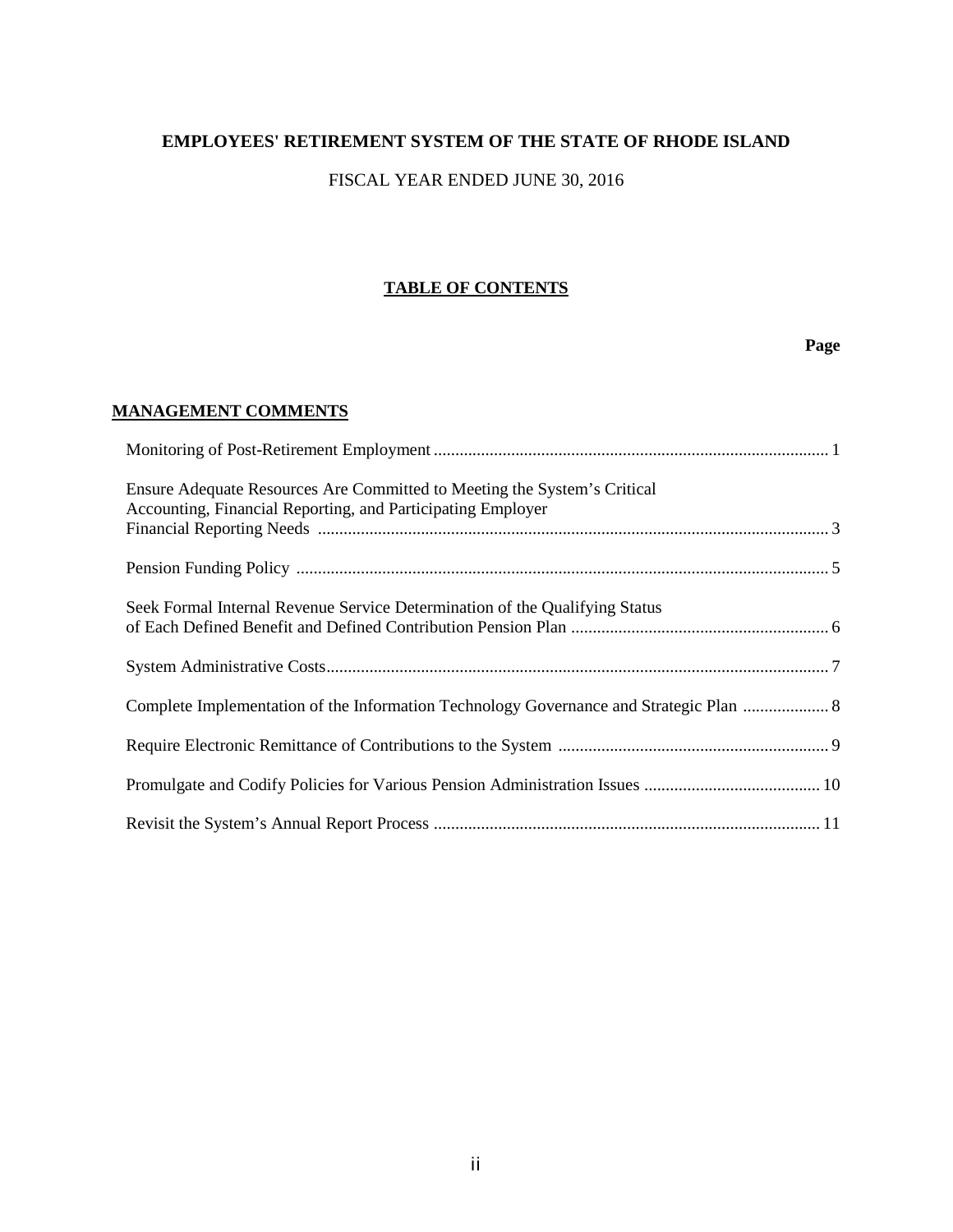# **EMPLOYEES' RETIREMENT SYSTEM OF THE STATE OF RHODE ISLAND**

# FISCAL YEAR ENDED JUNE 30, 2016

# **TABLE OF CONTENTS**

# **Page**

# **MANAGEMENT COMMENTS**

| Ensure Adequate Resources Are Committed to Meeting the System's Critical<br>Accounting, Financial Reporting, and Participating Employer |
|-----------------------------------------------------------------------------------------------------------------------------------------|
|                                                                                                                                         |
| Seek Formal Internal Revenue Service Determination of the Qualifying Status                                                             |
|                                                                                                                                         |
| Complete Implementation of the Information Technology Governance and Strategic Plan  8                                                  |
|                                                                                                                                         |
|                                                                                                                                         |
|                                                                                                                                         |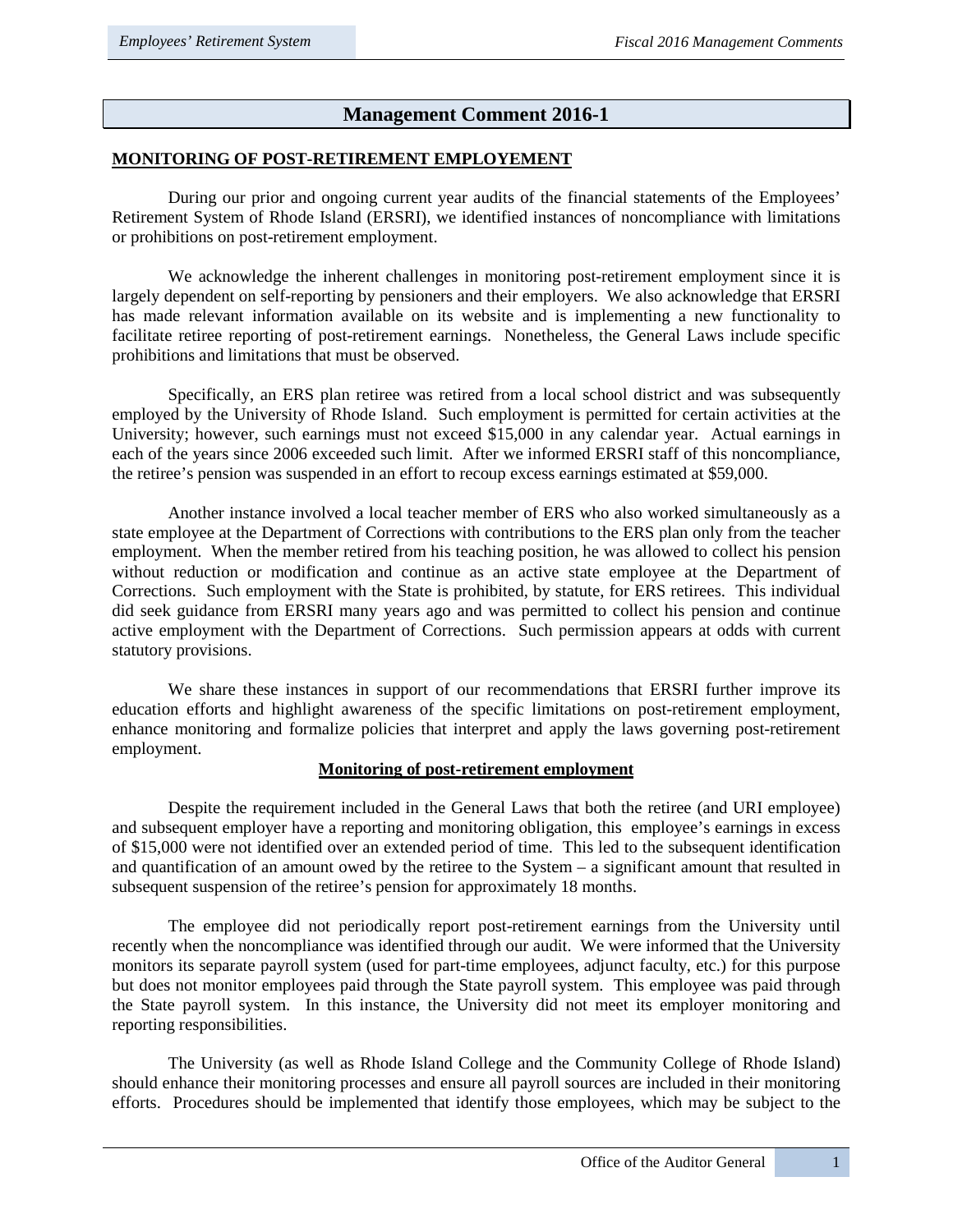# **Management Comment 2016-1**

### **MONITORING OF POST-RETIREMENT EMPLOYEMENT**

During our prior and ongoing current year audits of the financial statements of the Employees' Retirement System of Rhode Island (ERSRI), we identified instances of noncompliance with limitations or prohibitions on post-retirement employment.

We acknowledge the inherent challenges in monitoring post-retirement employment since it is largely dependent on self-reporting by pensioners and their employers. We also acknowledge that ERSRI has made relevant information available on its website and is implementing a new functionality to facilitate retiree reporting of post-retirement earnings. Nonetheless, the General Laws include specific prohibitions and limitations that must be observed.

Specifically, an ERS plan retiree was retired from a local school district and was subsequently employed by the University of Rhode Island. Such employment is permitted for certain activities at the University; however, such earnings must not exceed \$15,000 in any calendar year. Actual earnings in each of the years since 2006 exceeded such limit. After we informed ERSRI staff of this noncompliance, the retiree's pension was suspended in an effort to recoup excess earnings estimated at \$59,000.

Another instance involved a local teacher member of ERS who also worked simultaneously as a state employee at the Department of Corrections with contributions to the ERS plan only from the teacher employment. When the member retired from his teaching position, he was allowed to collect his pension without reduction or modification and continue as an active state employee at the Department of Corrections. Such employment with the State is prohibited, by statute, for ERS retirees. This individual did seek guidance from ERSRI many years ago and was permitted to collect his pension and continue active employment with the Department of Corrections. Such permission appears at odds with current statutory provisions.

We share these instances in support of our recommendations that ERSRI further improve its education efforts and highlight awareness of the specific limitations on post-retirement employment, enhance monitoring and formalize policies that interpret and apply the laws governing post-retirement employment.

### **Monitoring of post-retirement employment**

Despite the requirement included in the General Laws that both the retiree (and URI employee) and subsequent employer have a reporting and monitoring obligation, this employee's earnings in excess of \$15,000 were not identified over an extended period of time. This led to the subsequent identification and quantification of an amount owed by the retiree to the System – a significant amount that resulted in subsequent suspension of the retiree's pension for approximately 18 months.

The employee did not periodically report post-retirement earnings from the University until recently when the noncompliance was identified through our audit. We were informed that the University monitors its separate payroll system (used for part-time employees, adjunct faculty, etc.) for this purpose but does not monitor employees paid through the State payroll system. This employee was paid through the State payroll system. In this instance, the University did not meet its employer monitoring and reporting responsibilities.

The University (as well as Rhode Island College and the Community College of Rhode Island) should enhance their monitoring processes and ensure all payroll sources are included in their monitoring efforts. Procedures should be implemented that identify those employees, which may be subject to the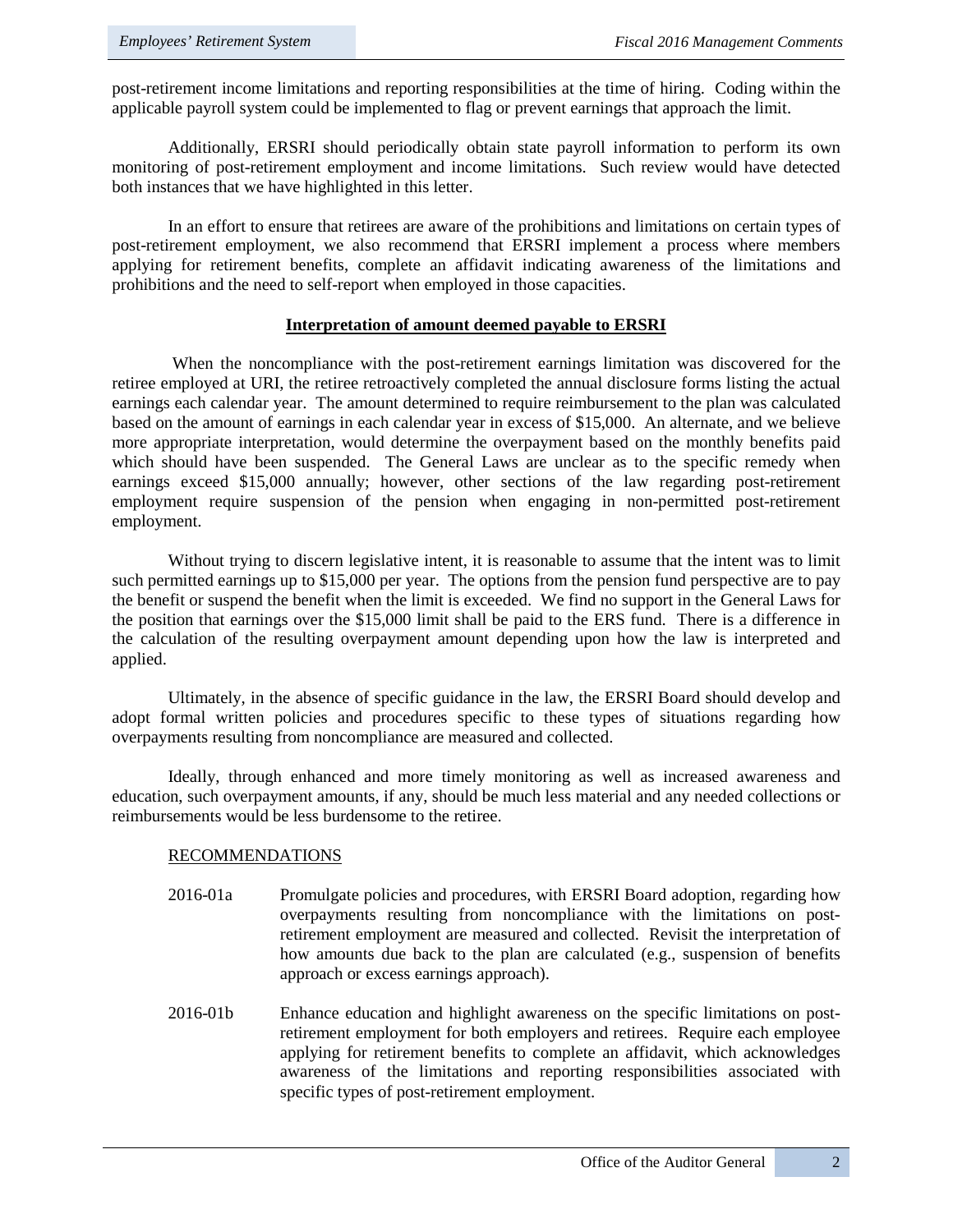post-retirement income limitations and reporting responsibilities at the time of hiring. Coding within the applicable payroll system could be implemented to flag or prevent earnings that approach the limit.

Additionally, ERSRI should periodically obtain state payroll information to perform its own monitoring of post-retirement employment and income limitations. Such review would have detected both instances that we have highlighted in this letter.

In an effort to ensure that retirees are aware of the prohibitions and limitations on certain types of post-retirement employment, we also recommend that ERSRI implement a process where members applying for retirement benefits, complete an affidavit indicating awareness of the limitations and prohibitions and the need to self-report when employed in those capacities.

### **Interpretation of amount deemed payable to ERSRI**

When the noncompliance with the post-retirement earnings limitation was discovered for the retiree employed at URI, the retiree retroactively completed the annual disclosure forms listing the actual earnings each calendar year. The amount determined to require reimbursement to the plan was calculated based on the amount of earnings in each calendar year in excess of \$15,000. An alternate, and we believe more appropriate interpretation, would determine the overpayment based on the monthly benefits paid which should have been suspended. The General Laws are unclear as to the specific remedy when earnings exceed \$15,000 annually; however, other sections of the law regarding post-retirement employment require suspension of the pension when engaging in non-permitted post-retirement employment.

Without trying to discern legislative intent, it is reasonable to assume that the intent was to limit such permitted earnings up to \$15,000 per year. The options from the pension fund perspective are to pay the benefit or suspend the benefit when the limit is exceeded. We find no support in the General Laws for the position that earnings over the \$15,000 limit shall be paid to the ERS fund. There is a difference in the calculation of the resulting overpayment amount depending upon how the law is interpreted and applied.

Ultimately, in the absence of specific guidance in the law, the ERSRI Board should develop and adopt formal written policies and procedures specific to these types of situations regarding how overpayments resulting from noncompliance are measured and collected.

Ideally, through enhanced and more timely monitoring as well as increased awareness and education, such overpayment amounts, if any, should be much less material and any needed collections or reimbursements would be less burdensome to the retiree.

#### RECOMMENDATIONS

- 2016-01a Promulgate policies and procedures, with ERSRI Board adoption, regarding how overpayments resulting from noncompliance with the limitations on postretirement employment are measured and collected. Revisit the interpretation of how amounts due back to the plan are calculated (e.g., suspension of benefits approach or excess earnings approach).
- 2016-01b Enhance education and highlight awareness on the specific limitations on postretirement employment for both employers and retirees. Require each employee applying for retirement benefits to complete an affidavit, which acknowledges awareness of the limitations and reporting responsibilities associated with specific types of post-retirement employment.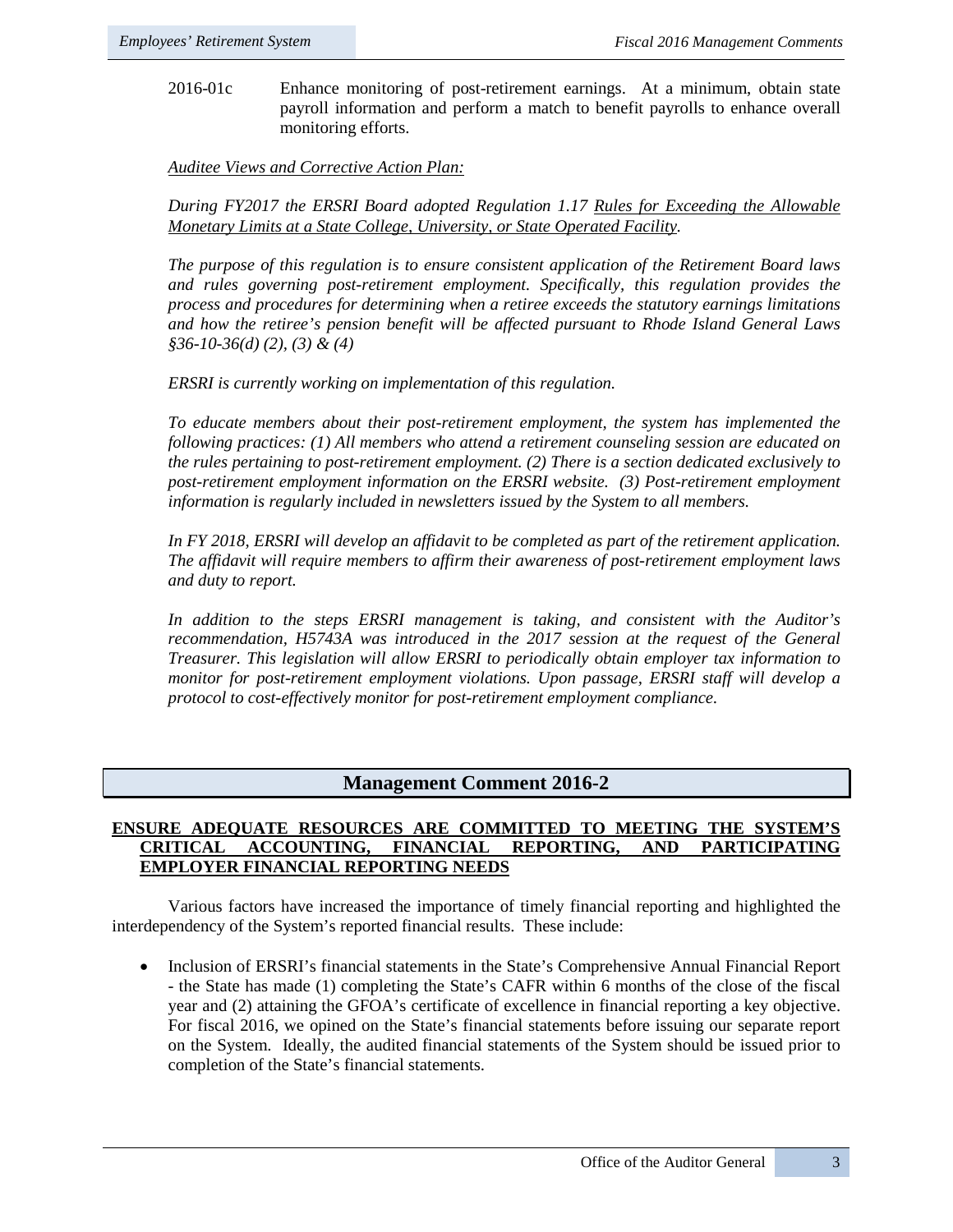2016-01c Enhance monitoring of post-retirement earnings. At a minimum, obtain state payroll information and perform a match to benefit payrolls to enhance overall monitoring efforts.

*Auditee Views and Corrective Action Plan:*

*During FY2017 the ERSRI Board adopted Regulation 1.17 Rules for Exceeding the Allowable Monetary Limits at a State College, University, or State Operated Facility.* 

*The purpose of this regulation is to ensure consistent application of the Retirement Board laws and rules governing post-retirement employment. Specifically, this regulation provides the process and procedures for determining when a retiree exceeds the statutory earnings limitations and how the retiree's pension benefit will be affected pursuant to Rhode Island General Laws §36-10-36(d) (2), (3) & (4)*

*ERSRI is currently working on implementation of this regulation.*

*To educate members about their post-retirement employment, the system has implemented the following practices: (1) All members who attend a retirement counseling session are educated on the rules pertaining to post-retirement employment. (2) There is a section dedicated exclusively to post-retirement employment information on the ERSRI website. (3) Post-retirement employment information is regularly included in newsletters issued by the System to all members.* 

*In FY 2018, ERSRI will develop an affidavit to be completed as part of the retirement application. The affidavit will require members to affirm their awareness of post-retirement employment laws and duty to report.* 

*In addition to the steps ERSRI management is taking, and consistent with the Auditor's recommendation, H5743A was introduced in the 2017 session at the request of the General Treasurer. This legislation will allow ERSRI to periodically obtain employer tax information to monitor for post-retirement employment violations. Upon passage, ERSRI staff will develop a protocol to cost-effectively monitor for post-retirement employment compliance.* 

# **Management Comment 2016-2**

#### **ENSURE ADEQUATE RESOURCES ARE COMMITTED TO MEETING THE SYSTEM'S CRITICAL ACCOUNTING, FINANCIAL REPORTING, AND PARTICIPATING EMPLOYER FINANCIAL REPORTING NEEDS**

Various factors have increased the importance of timely financial reporting and highlighted the interdependency of the System's reported financial results. These include:

• Inclusion of ERSRI's financial statements in the State's Comprehensive Annual Financial Report - the State has made (1) completing the State's CAFR within 6 months of the close of the fiscal year and (2) attaining the GFOA's certificate of excellence in financial reporting a key objective. For fiscal 2016, we opined on the State's financial statements before issuing our separate report on the System. Ideally, the audited financial statements of the System should be issued prior to completion of the State's financial statements.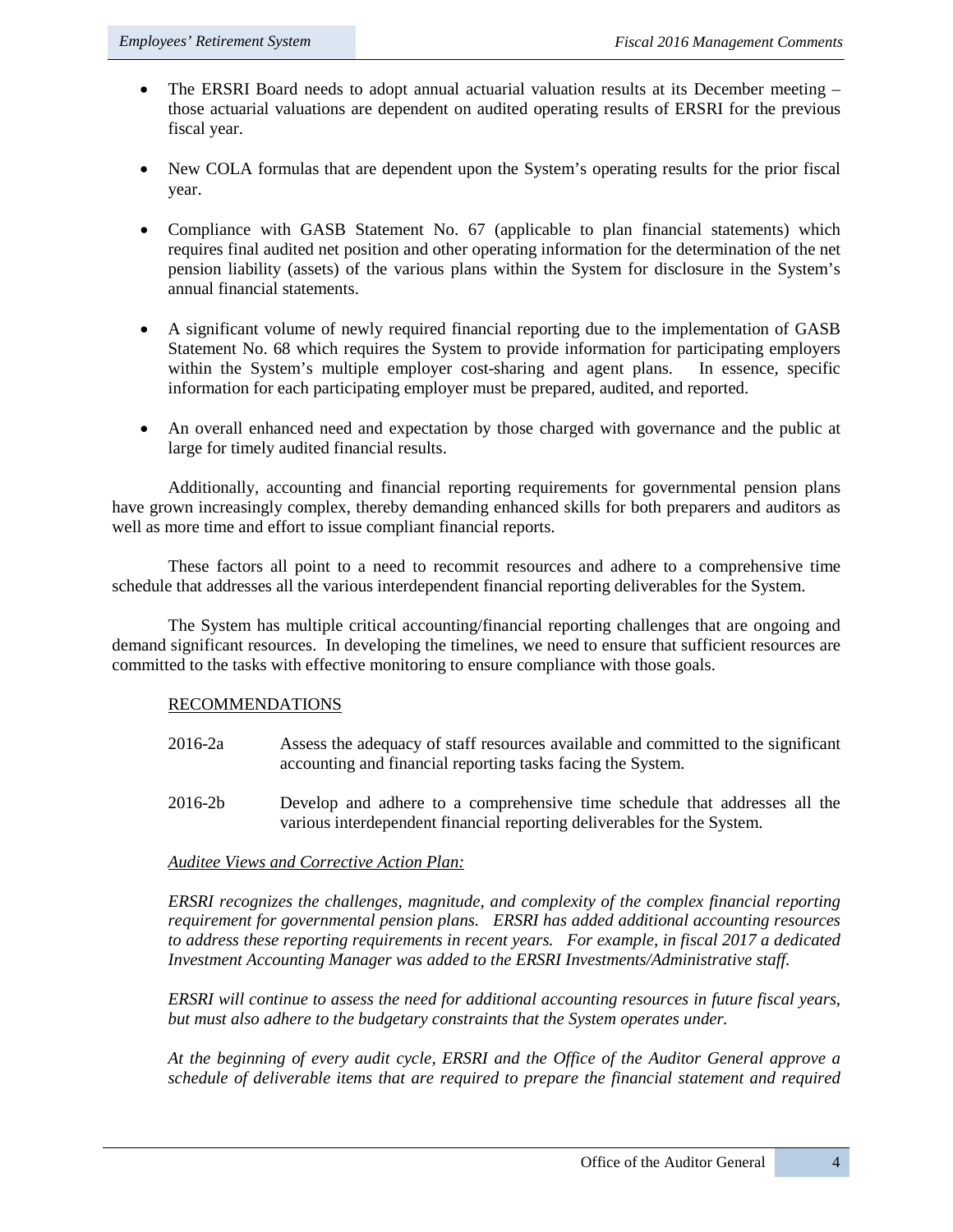- The ERSRI Board needs to adopt annual actuarial valuation results at its December meeting those actuarial valuations are dependent on audited operating results of ERSRI for the previous fiscal year.
- New COLA formulas that are dependent upon the System's operating results for the prior fiscal year.
- Compliance with GASB Statement No. 67 (applicable to plan financial statements) which requires final audited net position and other operating information for the determination of the net pension liability (assets) of the various plans within the System for disclosure in the System's annual financial statements.
- A significant volume of newly required financial reporting due to the implementation of GASB Statement No. 68 which requires the System to provide information for participating employers within the System's multiple employer cost-sharing and agent plans. In essence, specific information for each participating employer must be prepared, audited, and reported.
- An overall enhanced need and expectation by those charged with governance and the public at large for timely audited financial results.

Additionally, accounting and financial reporting requirements for governmental pension plans have grown increasingly complex, thereby demanding enhanced skills for both preparers and auditors as well as more time and effort to issue compliant financial reports.

These factors all point to a need to recommit resources and adhere to a comprehensive time schedule that addresses all the various interdependent financial reporting deliverables for the System.

The System has multiple critical accounting/financial reporting challenges that are ongoing and demand significant resources. In developing the timelines, we need to ensure that sufficient resources are committed to the tasks with effective monitoring to ensure compliance with those goals.

### RECOMMENDATIONS

- 2016-2a Assess the adequacy of staff resources available and committed to the significant accounting and financial reporting tasks facing the System.
- 2016-2b Develop and adhere to a comprehensive time schedule that addresses all the various interdependent financial reporting deliverables for the System.

#### *Auditee Views and Corrective Action Plan:*

*ERSRI recognizes the challenges, magnitude, and complexity of the complex financial reporting requirement for governmental pension plans. ERSRI has added additional accounting resources to address these reporting requirements in recent years. For example, in fiscal 2017 a dedicated Investment Accounting Manager was added to the ERSRI Investments/Administrative staff.* 

*ERSRI will continue to assess the need for additional accounting resources in future fiscal years, but must also adhere to the budgetary constraints that the System operates under.* 

*At the beginning of every audit cycle, ERSRI and the Office of the Auditor General approve a schedule of deliverable items that are required to prepare the financial statement and required*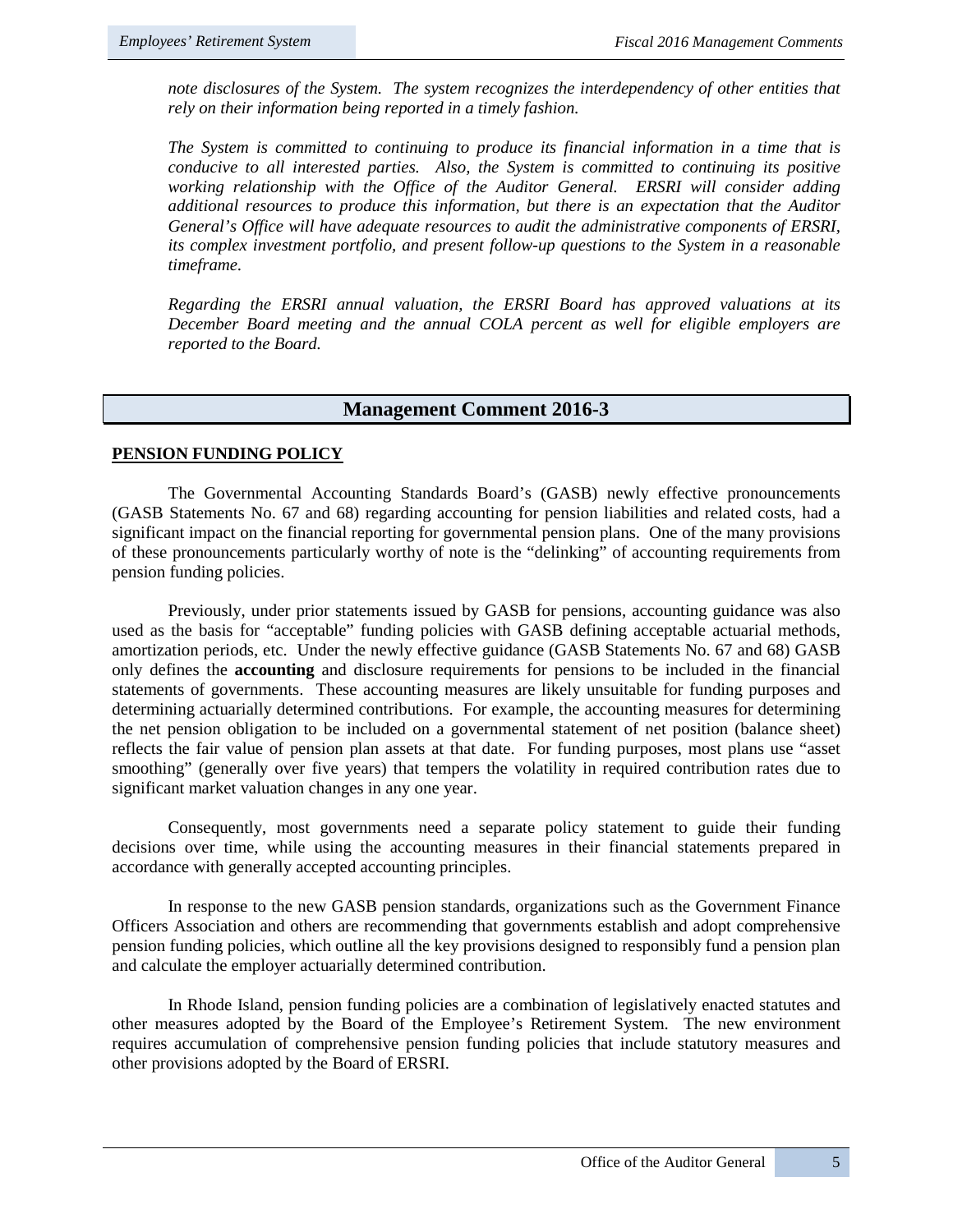*note disclosures of the System. The system recognizes the interdependency of other entities that rely on their information being reported in a timely fashion.* 

*The System is committed to continuing to produce its financial information in a time that is conducive to all interested parties. Also, the System is committed to continuing its positive working relationship with the Office of the Auditor General. ERSRI will consider adding additional resources to produce this information, but there is an expectation that the Auditor General's Office will have adequate resources to audit the administrative components of ERSRI, its complex investment portfolio, and present follow-up questions to the System in a reasonable timeframe.* 

*Regarding the ERSRI annual valuation, the ERSRI Board has approved valuations at its December Board meeting and the annual COLA percent as well for eligible employers are reported to the Board.*

#### **Management Comment 2016-3**

#### **PENSION FUNDING POLICY**

The Governmental Accounting Standards Board's (GASB) newly effective pronouncements (GASB Statements No. 67 and 68) regarding accounting for pension liabilities and related costs, had a significant impact on the financial reporting for governmental pension plans. One of the many provisions of these pronouncements particularly worthy of note is the "delinking" of accounting requirements from pension funding policies.

Previously, under prior statements issued by GASB for pensions, accounting guidance was also used as the basis for "acceptable" funding policies with GASB defining acceptable actuarial methods, amortization periods, etc. Under the newly effective guidance (GASB Statements No. 67 and 68) GASB only defines the **accounting** and disclosure requirements for pensions to be included in the financial statements of governments. These accounting measures are likely unsuitable for funding purposes and determining actuarially determined contributions. For example, the accounting measures for determining the net pension obligation to be included on a governmental statement of net position (balance sheet) reflects the fair value of pension plan assets at that date. For funding purposes, most plans use "asset smoothing" (generally over five years) that tempers the volatility in required contribution rates due to significant market valuation changes in any one year.

Consequently, most governments need a separate policy statement to guide their funding decisions over time, while using the accounting measures in their financial statements prepared in accordance with generally accepted accounting principles.

In response to the new GASB pension standards, organizations such as the Government Finance Officers Association and others are recommending that governments establish and adopt comprehensive pension funding policies, which outline all the key provisions designed to responsibly fund a pension plan and calculate the employer actuarially determined contribution.

In Rhode Island, pension funding policies are a combination of legislatively enacted statutes and other measures adopted by the Board of the Employee's Retirement System. The new environment requires accumulation of comprehensive pension funding policies that include statutory measures and other provisions adopted by the Board of ERSRI.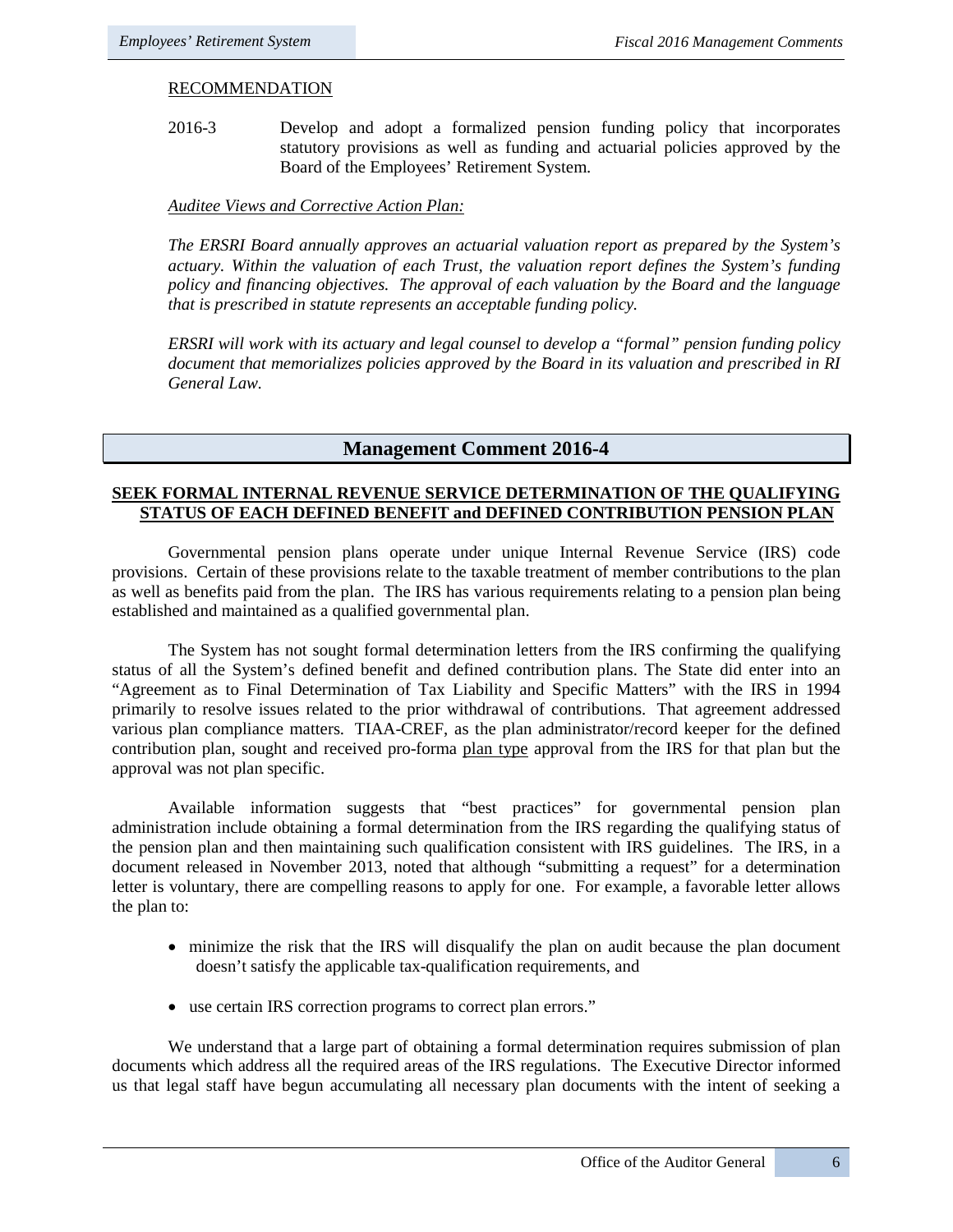#### RECOMMENDATION

2016-3 Develop and adopt a formalized pension funding policy that incorporates statutory provisions as well as funding and actuarial policies approved by the Board of the Employees' Retirement System.

#### *Auditee Views and Corrective Action Plan:*

*The ERSRI Board annually approves an actuarial valuation report as prepared by the System's actuary. Within the valuation of each Trust, the valuation report defines the System's funding policy and financing objectives. The approval of each valuation by the Board and the language that is prescribed in statute represents an acceptable funding policy.* 

*ERSRI will work with its actuary and legal counsel to develop a "formal" pension funding policy document that memorializes policies approved by the Board in its valuation and prescribed in RI General Law.*

# **Management Comment 2016-4**

### **SEEK FORMAL INTERNAL REVENUE SERVICE DETERMINATION OF THE QUALIFYING STATUS OF EACH DEFINED BENEFIT and DEFINED CONTRIBUTION PENSION PLAN**

Governmental pension plans operate under unique Internal Revenue Service (IRS) code provisions. Certain of these provisions relate to the taxable treatment of member contributions to the plan as well as benefits paid from the plan. The IRS has various requirements relating to a pension plan being established and maintained as a qualified governmental plan.

The System has not sought formal determination letters from the IRS confirming the qualifying status of all the System's defined benefit and defined contribution plans. The State did enter into an "Agreement as to Final Determination of Tax Liability and Specific Matters" with the IRS in 1994 primarily to resolve issues related to the prior withdrawal of contributions. That agreement addressed various plan compliance matters. TIAA-CREF, as the plan administrator/record keeper for the defined contribution plan, sought and received pro-forma plan type approval from the IRS for that plan but the approval was not plan specific.

Available information suggests that "best practices" for governmental pension plan administration include obtaining a formal determination from the IRS regarding the qualifying status of the pension plan and then maintaining such qualification consistent with IRS guidelines. The IRS, in a document released in November 2013, noted that although "submitting a request" for a determination letter is voluntary, there are compelling reasons to apply for one. For example, a favorable letter allows the plan to:

- minimize the risk that the IRS will disqualify the plan on audit because the plan document doesn't satisfy the applicable tax-qualification requirements, and
- use certain IRS correction programs to correct plan errors."

We understand that a large part of obtaining a formal determination requires submission of plan documents which address all the required areas of the IRS regulations. The Executive Director informed us that legal staff have begun accumulating all necessary plan documents with the intent of seeking a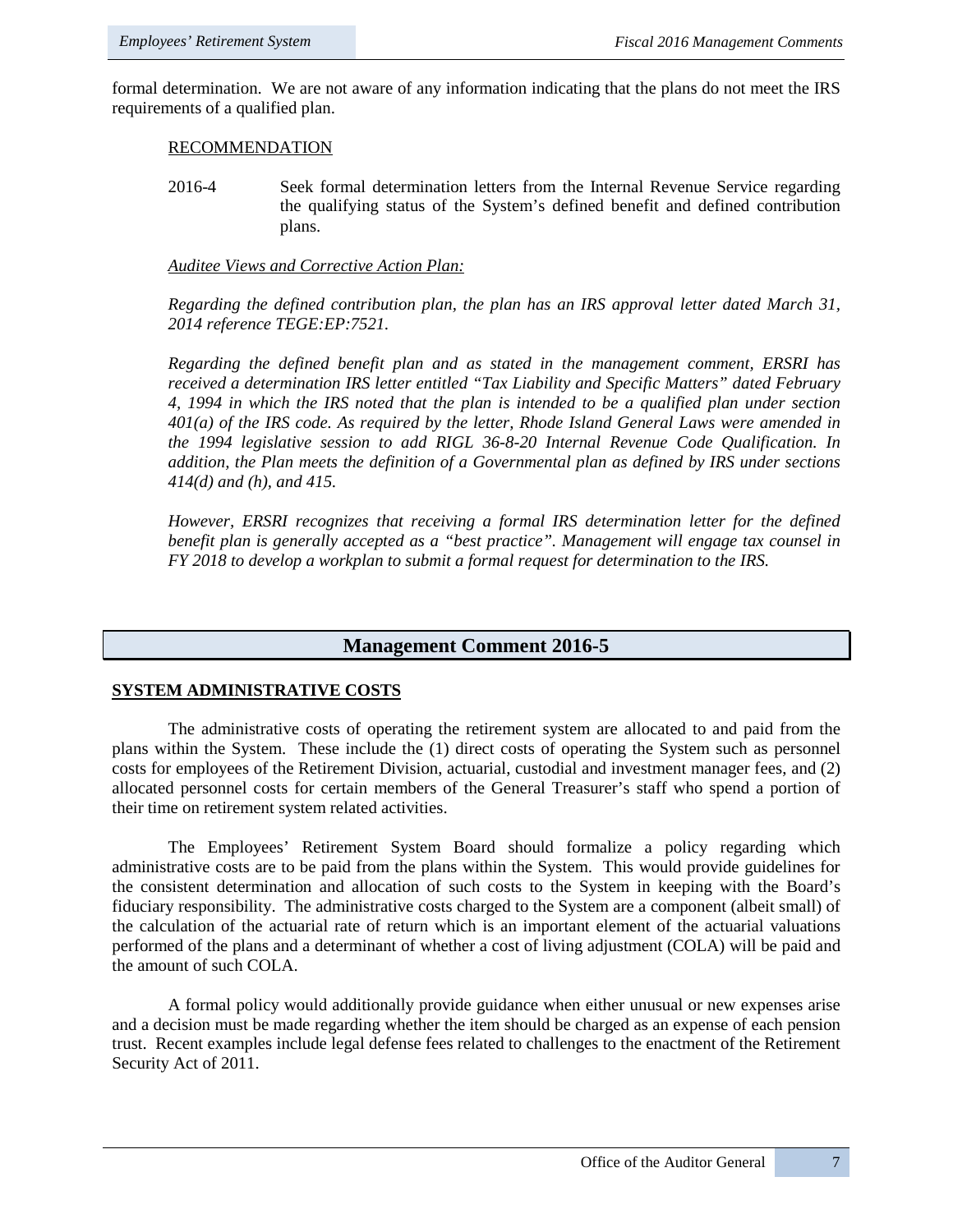formal determination. We are not aware of any information indicating that the plans do not meet the IRS requirements of a qualified plan.

#### RECOMMENDATION

2016-4 Seek formal determination letters from the Internal Revenue Service regarding the qualifying status of the System's defined benefit and defined contribution plans.

# *Auditee Views and Corrective Action Plan:*

*Regarding the defined contribution plan, the plan has an IRS approval letter dated March 31, 2014 reference TEGE:EP:7521.* 

*Regarding the defined benefit plan and as stated in the management comment, ERSRI has received a determination IRS letter entitled "Tax Liability and Specific Matters" dated February 4, 1994 in which the IRS noted that the plan is intended to be a qualified plan under section 401(a) of the IRS code. As required by the letter, Rhode Island General Laws were amended in the 1994 legislative session to add RIGL 36-8-20 Internal Revenue Code Qualification. In addition, the Plan meets the definition of a Governmental plan as defined by IRS under sections 414(d) and (h), and 415.*

*However, ERSRI recognizes that receiving a formal IRS determination letter for the defined benefit plan is generally accepted as a "best practice". Management will engage tax counsel in FY 2018 to develop a workplan to submit a formal request for determination to the IRS.* 

# **Management Comment 2016-5**

### **SYSTEM ADMINISTRATIVE COSTS**

The administrative costs of operating the retirement system are allocated to and paid from the plans within the System. These include the (1) direct costs of operating the System such as personnel costs for employees of the Retirement Division, actuarial, custodial and investment manager fees, and (2) allocated personnel costs for certain members of the General Treasurer's staff who spend a portion of their time on retirement system related activities.

The Employees' Retirement System Board should formalize a policy regarding which administrative costs are to be paid from the plans within the System. This would provide guidelines for the consistent determination and allocation of such costs to the System in keeping with the Board's fiduciary responsibility. The administrative costs charged to the System are a component (albeit small) of the calculation of the actuarial rate of return which is an important element of the actuarial valuations performed of the plans and a determinant of whether a cost of living adjustment (COLA) will be paid and the amount of such COLA.

A formal policy would additionally provide guidance when either unusual or new expenses arise and a decision must be made regarding whether the item should be charged as an expense of each pension trust. Recent examples include legal defense fees related to challenges to the enactment of the Retirement Security Act of 2011.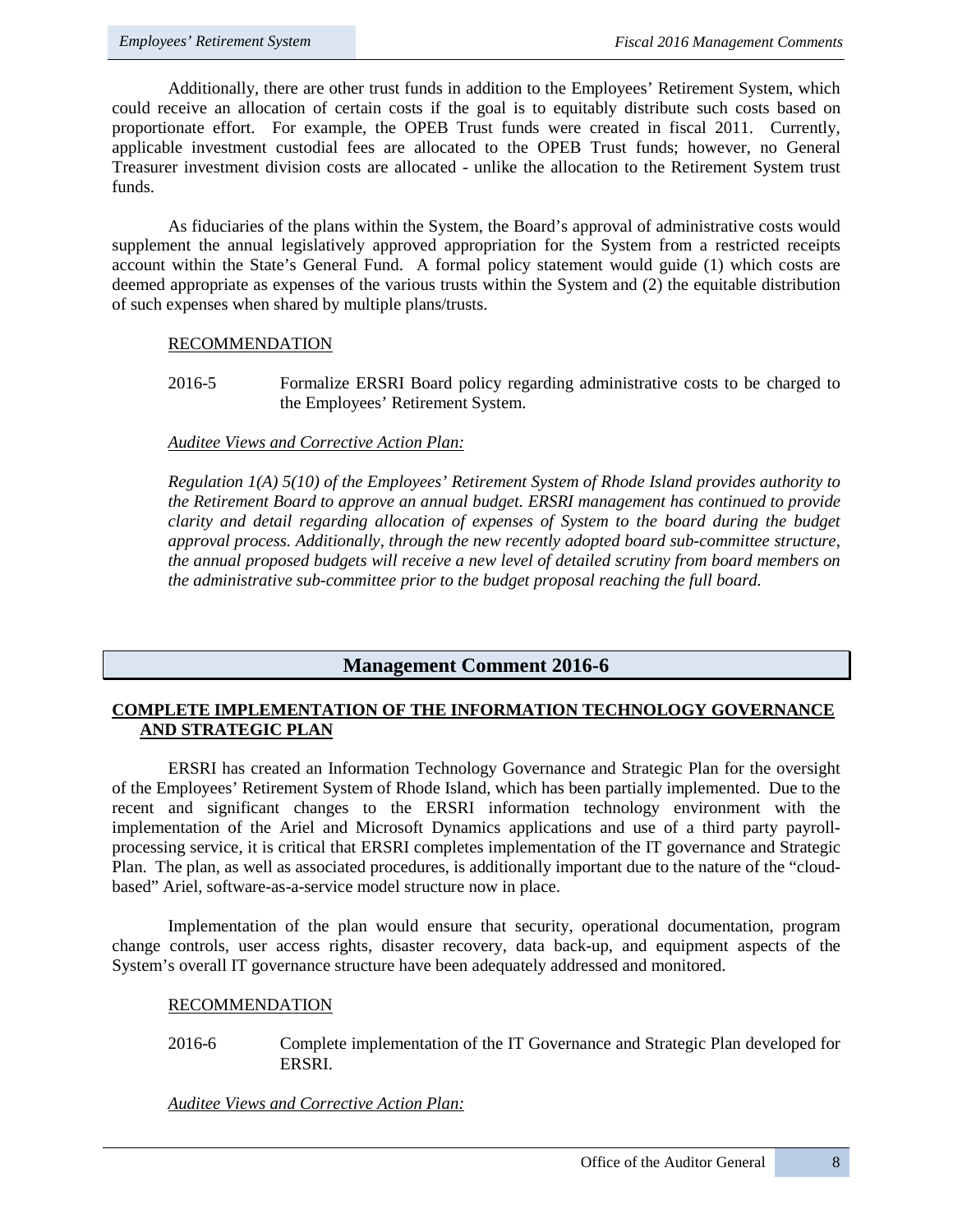Additionally, there are other trust funds in addition to the Employees' Retirement System, which could receive an allocation of certain costs if the goal is to equitably distribute such costs based on proportionate effort. For example, the OPEB Trust funds were created in fiscal 2011. Currently, applicable investment custodial fees are allocated to the OPEB Trust funds; however, no General Treasurer investment division costs are allocated - unlike the allocation to the Retirement System trust funds.

As fiduciaries of the plans within the System, the Board's approval of administrative costs would supplement the annual legislatively approved appropriation for the System from a restricted receipts account within the State's General Fund. A formal policy statement would guide (1) which costs are deemed appropriate as expenses of the various trusts within the System and (2) the equitable distribution of such expenses when shared by multiple plans/trusts.

#### RECOMMENDATION

2016-5 Formalize ERSRI Board policy regarding administrative costs to be charged to the Employees' Retirement System.

#### *Auditee Views and Corrective Action Plan:*

*Regulation 1(A) 5(10) of the Employees' Retirement System of Rhode Island provides authority to the Retirement Board to approve an annual budget. ERSRI management has continued to provide clarity and detail regarding allocation of expenses of System to the board during the budget approval process. Additionally, through the new recently adopted board sub-committee structure, the annual proposed budgets will receive a new level of detailed scrutiny from board members on the administrative sub-committee prior to the budget proposal reaching the full board.*

# **Management Comment 2016-6**

### **COMPLETE IMPLEMENTATION OF THE INFORMATION TECHNOLOGY GOVERNANCE AND STRATEGIC PLAN**

ERSRI has created an Information Technology Governance and Strategic Plan for the oversight of the Employees' Retirement System of Rhode Island, which has been partially implemented. Due to the recent and significant changes to the ERSRI information technology environment with the implementation of the Ariel and Microsoft Dynamics applications and use of a third party payrollprocessing service, it is critical that ERSRI completes implementation of the IT governance and Strategic Plan. The plan, as well as associated procedures, is additionally important due to the nature of the "cloudbased" Ariel, software-as-a-service model structure now in place.

Implementation of the plan would ensure that security, operational documentation, program change controls, user access rights, disaster recovery, data back-up, and equipment aspects of the System's overall IT governance structure have been adequately addressed and monitored.

#### RECOMMENDATION

2016-6 Complete implementation of the IT Governance and Strategic Plan developed for ERSRI.

*Auditee Views and Corrective Action Plan:*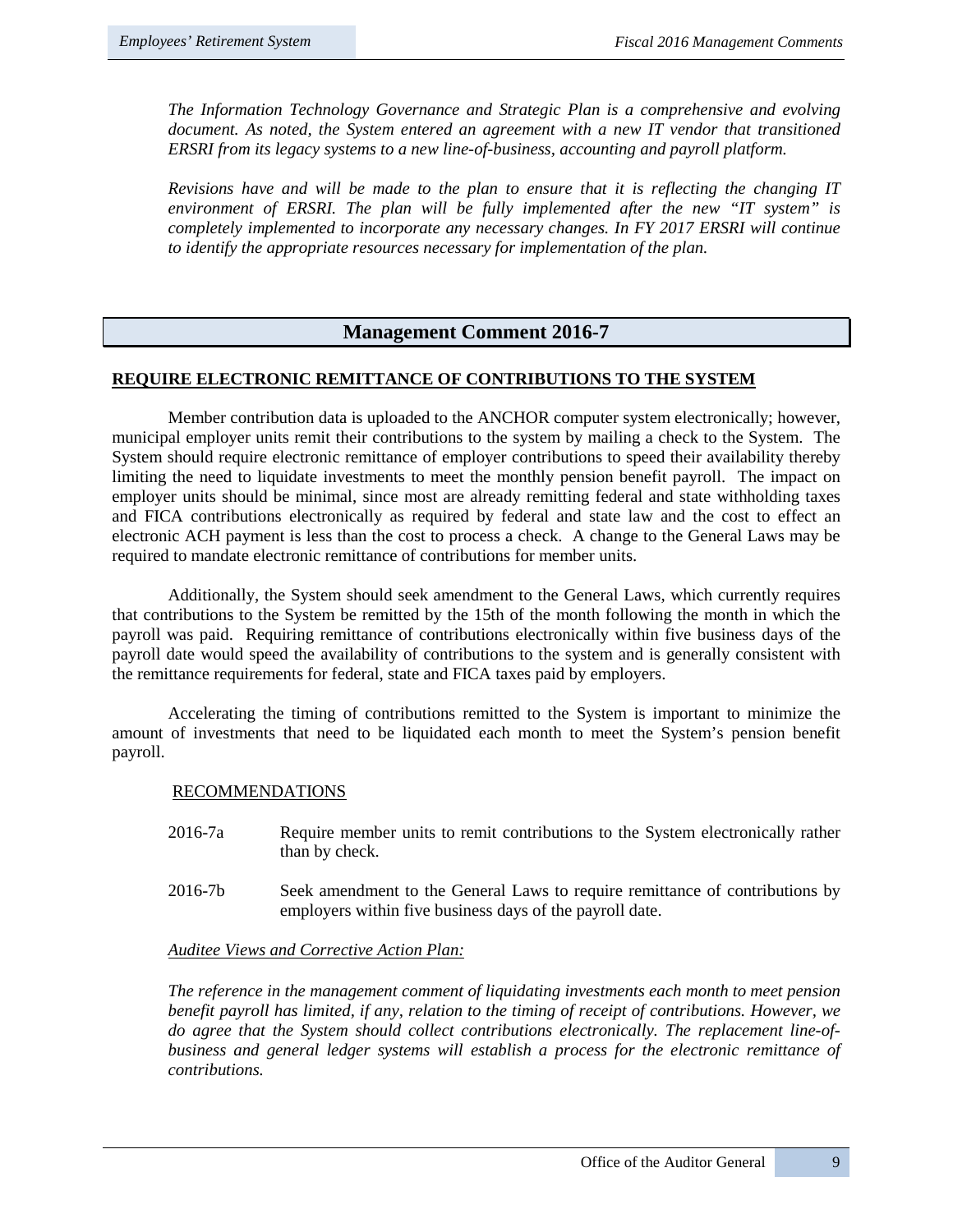*The Information Technology Governance and Strategic Plan is a comprehensive and evolving document. As noted, the System entered an agreement with a new IT vendor that transitioned ERSRI from its legacy systems to a new line-of-business, accounting and payroll platform.*

*Revisions have and will be made to the plan to ensure that it is reflecting the changing IT environment of ERSRI. The plan will be fully implemented after the new "IT system" is completely implemented to incorporate any necessary changes. In FY 2017 ERSRI will continue to identify the appropriate resources necessary for implementation of the plan.*

# **Management Comment 2016-7**

#### **REQUIRE ELECTRONIC REMITTANCE OF CONTRIBUTIONS TO THE SYSTEM**

Member contribution data is uploaded to the ANCHOR computer system electronically; however, municipal employer units remit their contributions to the system by mailing a check to the System. The System should require electronic remittance of employer contributions to speed their availability thereby limiting the need to liquidate investments to meet the monthly pension benefit payroll. The impact on employer units should be minimal, since most are already remitting federal and state withholding taxes and FICA contributions electronically as required by federal and state law and the cost to effect an electronic ACH payment is less than the cost to process a check. A change to the General Laws may be required to mandate electronic remittance of contributions for member units.

Additionally, the System should seek amendment to the General Laws, which currently requires that contributions to the System be remitted by the 15th of the month following the month in which the payroll was paid. Requiring remittance of contributions electronically within five business days of the payroll date would speed the availability of contributions to the system and is generally consistent with the remittance requirements for federal, state and FICA taxes paid by employers.

Accelerating the timing of contributions remitted to the System is important to minimize the amount of investments that need to be liquidated each month to meet the System's pension benefit payroll.

#### RECOMMENDATIONS

- 2016-7a Require member units to remit contributions to the System electronically rather than by check.
- 2016-7b Seek amendment to the General Laws to require remittance of contributions by employers within five business days of the payroll date.

#### *Auditee Views and Corrective Action Plan:*

*The reference in the management comment of liquidating investments each month to meet pension benefit payroll has limited, if any, relation to the timing of receipt of contributions. However, we do agree that the System should collect contributions electronically. The replacement line-ofbusiness and general ledger systems will establish a process for the electronic remittance of contributions.*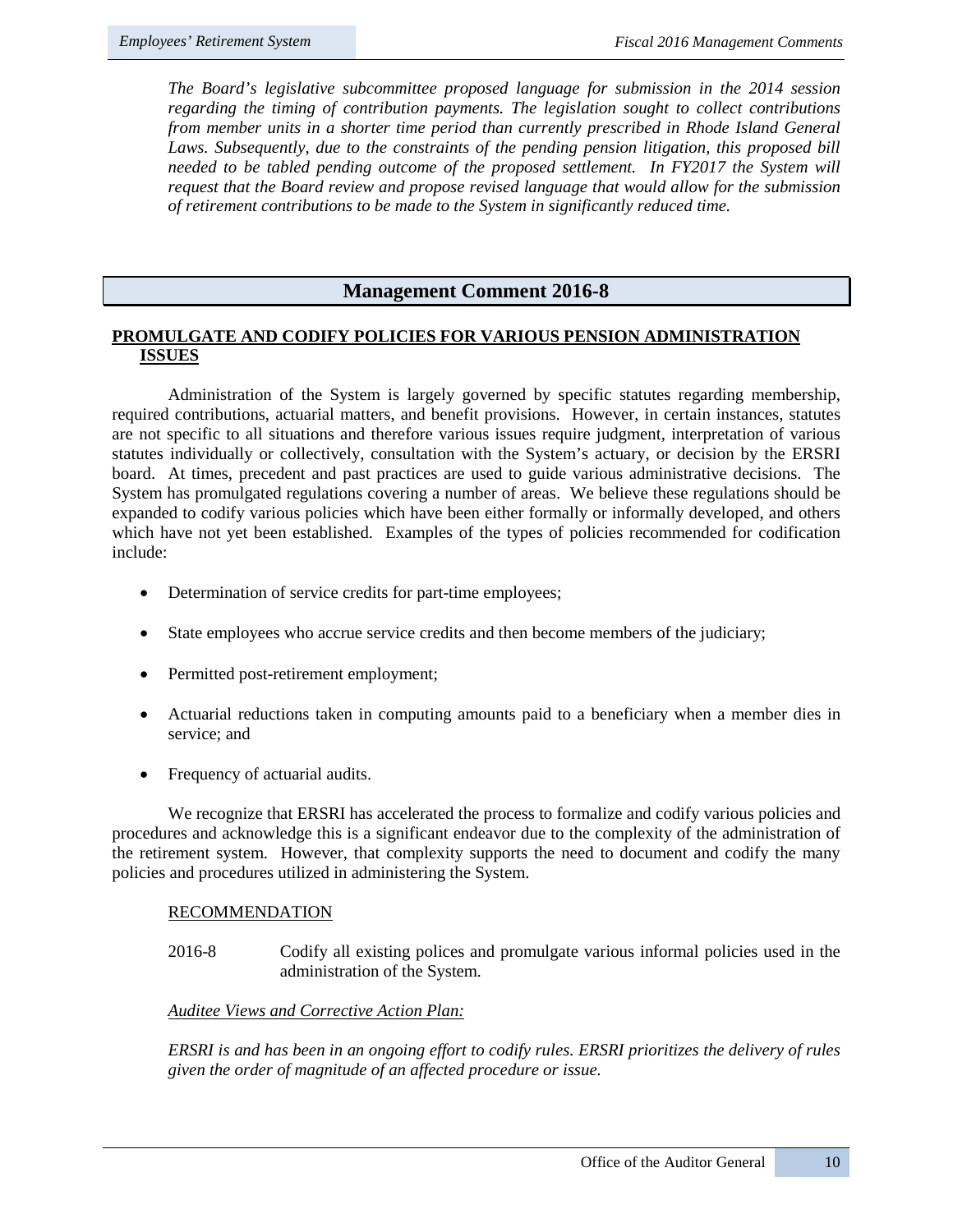*The Board's legislative subcommittee proposed language for submission in the 2014 session regarding the timing of contribution payments. The legislation sought to collect contributions from member units in a shorter time period than currently prescribed in Rhode Island General*  Laws. Subsequently, due to the constraints of the pending pension litigation, this proposed bill *needed to be tabled pending outcome of the proposed settlement. In FY2017 the System will request that the Board review and propose revised language that would allow for the submission of retirement contributions to be made to the System in significantly reduced time.*

### **Management Comment 2016-8**

#### **PROMULGATE AND CODIFY POLICIES FOR VARIOUS PENSION ADMINISTRATION ISSUES**

Administration of the System is largely governed by specific statutes regarding membership, required contributions, actuarial matters, and benefit provisions. However, in certain instances, statutes are not specific to all situations and therefore various issues require judgment, interpretation of various statutes individually or collectively, consultation with the System's actuary, or decision by the ERSRI board. At times, precedent and past practices are used to guide various administrative decisions. The System has promulgated regulations covering a number of areas. We believe these regulations should be expanded to codify various policies which have been either formally or informally developed, and others which have not yet been established. Examples of the types of policies recommended for codification include:

- Determination of service credits for part-time employees;
- State employees who accrue service credits and then become members of the judiciary;
- Permitted post-retirement employment;
- Actuarial reductions taken in computing amounts paid to a beneficiary when a member dies in service; and
- Frequency of actuarial audits.

We recognize that ERSRI has accelerated the process to formalize and codify various policies and procedures and acknowledge this is a significant endeavor due to the complexity of the administration of the retirement system. However, that complexity supports the need to document and codify the many policies and procedures utilized in administering the System.

#### RECOMMENDATION

2016-8 Codify all existing polices and promulgate various informal policies used in the administration of the System.

#### *Auditee Views and Corrective Action Plan:*

*ERSRI is and has been in an ongoing effort to codify rules. ERSRI prioritizes the delivery of rules given the order of magnitude of an affected procedure or issue.*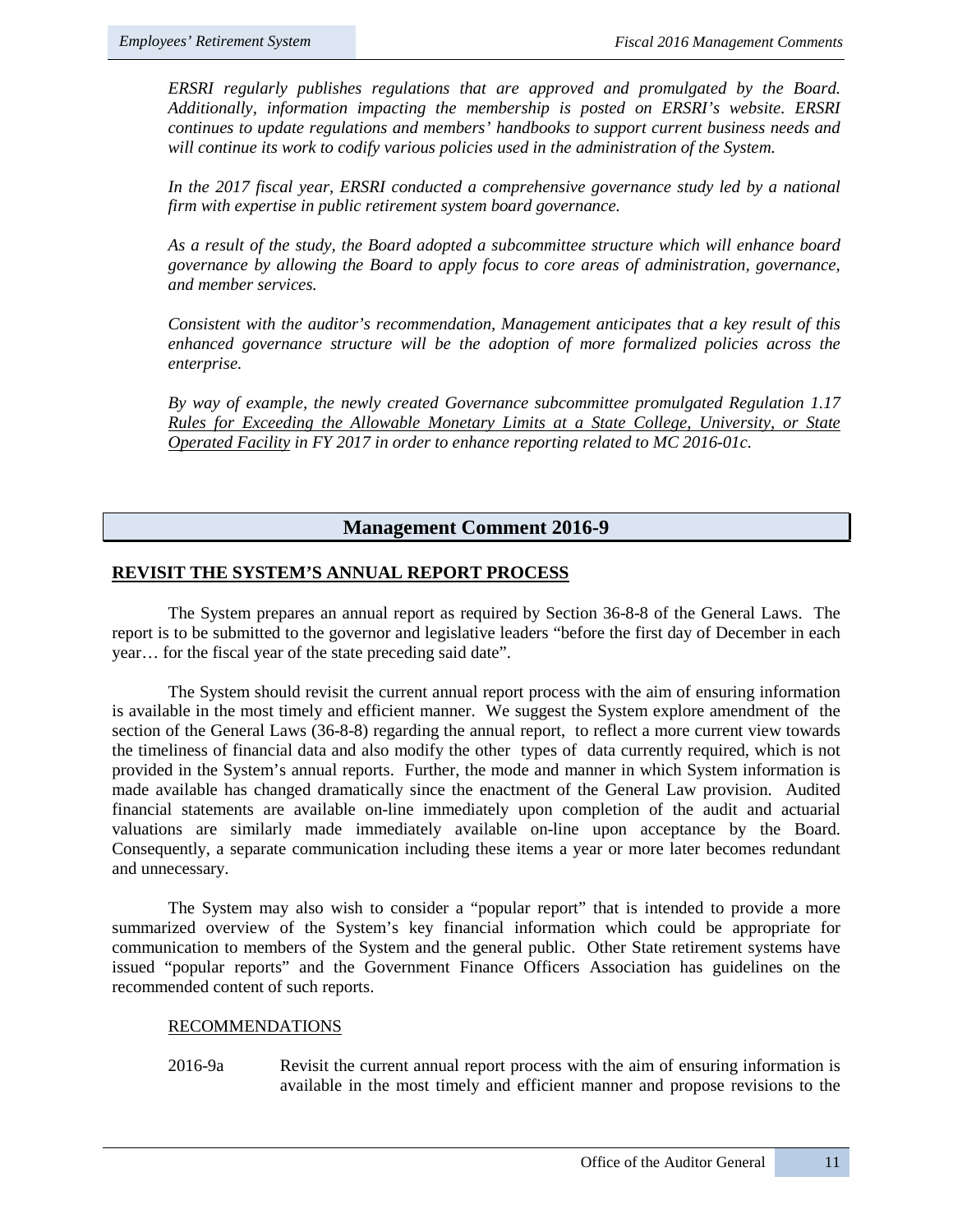*ERSRI regularly publishes regulations that are approved and promulgated by the Board. Additionally, information impacting the membership is posted on ERSRI's website. ERSRI continues to update regulations and members' handbooks to support current business needs and will continue its work to codify various policies used in the administration of the System.* 

In the 2017 fiscal year, ERSRI conducted a comprehensive governance study led by a national *firm with expertise in public retirement system board governance.* 

*As a result of the study, the Board adopted a subcommittee structure which will enhance board governance by allowing the Board to apply focus to core areas of administration, governance, and member services.* 

*Consistent with the auditor's recommendation, Management anticipates that a key result of this enhanced governance structure will be the adoption of more formalized policies across the enterprise.* 

*By way of example, the newly created Governance subcommittee promulgated Regulation 1.17 Rules for Exceeding the Allowable Monetary Limits at a State College, University, or State Operated Facility in FY 2017 in order to enhance reporting related to MC 2016-01c.* 

# **Management Comment 2016-9**

# **REVISIT THE SYSTEM'S ANNUAL REPORT PROCESS**

The System prepares an annual report as required by Section 36-8-8 of the General Laws. The report is to be submitted to the governor and legislative leaders "before the first day of December in each year… for the fiscal year of the state preceding said date".

The System should revisit the current annual report process with the aim of ensuring information is available in the most timely and efficient manner. We suggest the System explore amendment of the section of the General Laws (36-8-8) regarding the annual report, to reflect a more current view towards the timeliness of financial data and also modify the other types of data currently required, which is not provided in the System's annual reports. Further, the mode and manner in which System information is made available has changed dramatically since the enactment of the General Law provision. Audited financial statements are available on-line immediately upon completion of the audit and actuarial valuations are similarly made immediately available on-line upon acceptance by the Board. Consequently, a separate communication including these items a year or more later becomes redundant and unnecessary.

The System may also wish to consider a "popular report" that is intended to provide a more summarized overview of the System's key financial information which could be appropriate for communication to members of the System and the general public. Other State retirement systems have issued "popular reports" and the Government Finance Officers Association has guidelines on the recommended content of such reports.

#### RECOMMENDATIONS

2016-9a Revisit the current annual report process with the aim of ensuring information is available in the most timely and efficient manner and propose revisions to the